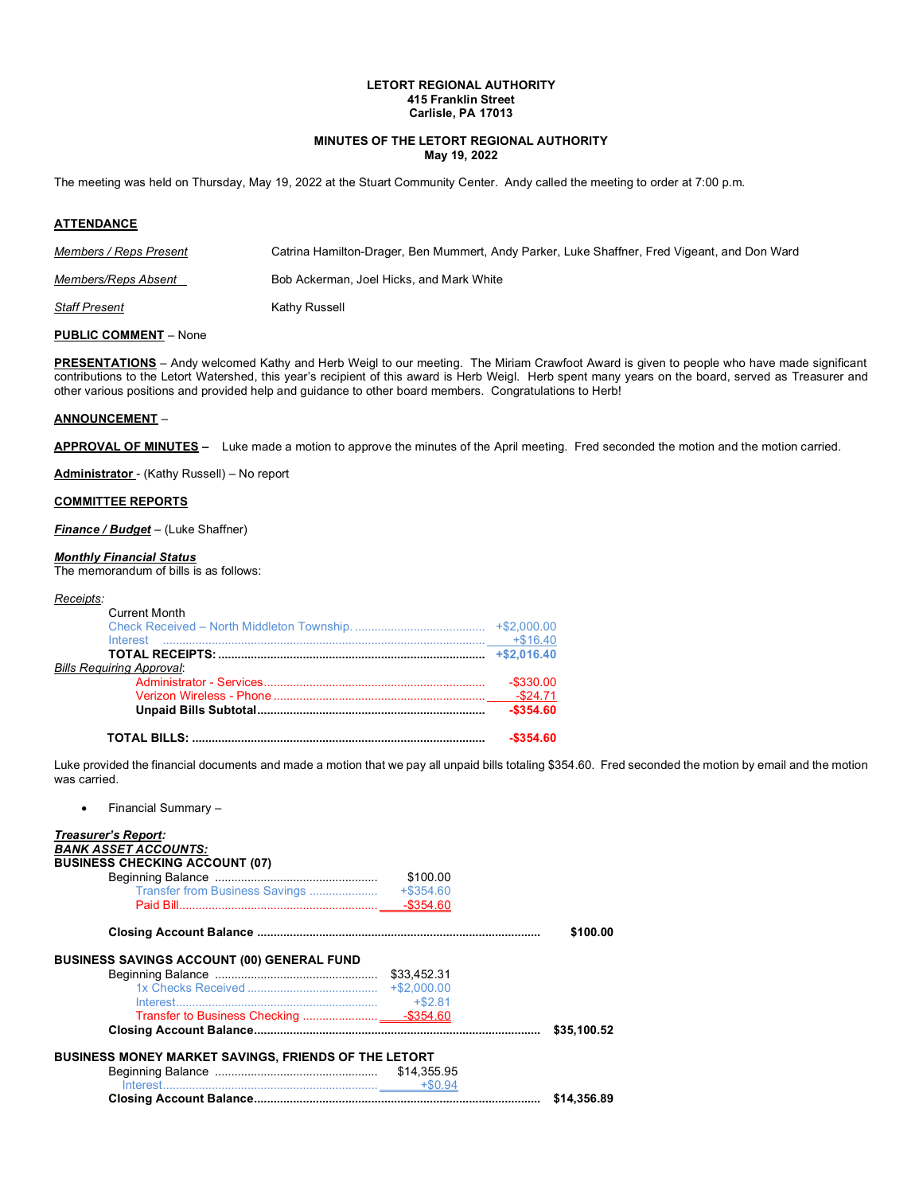## **LETORT REGIONAL AUTHORITY 415 Franklin Street Carlisle, PA 17013**

## **MINUTES OF THE LETORT REGIONAL AUTHORITY May 19, 2022**

The meeting was held on Thursday, May 19, 2022 at the Stuart Community Center. Andy called the meeting to order at 7:00 p.m*.*

### **ATTENDANCE**

| Members / Reps Present | Catrina Hamilton-Drager, Ben Mummert, Andy Parker, Luke Shaffner, Fred Vigeant, and Don Ward |
|------------------------|----------------------------------------------------------------------------------------------|
| Members/Reps Absent    | Bob Ackerman, Joel Hicks, and Mark White                                                     |
| <b>Staff Present</b>   | Kathy Russell                                                                                |

## **PUBLIC COMMENT** – None

**PRESENTATIONS** – Andy welcomed Kathy and Herb Weigl to our meeting. The Miriam Crawfoot Award is given to people who have made significant contributions to the Letort Watershed, this year's recipient of this award is Herb Weigl. Herb spent many years on the board, served as Treasurer and other various positions and provided help and guidance to other board members. Congratulations to Herb!

#### **ANNOUNCEMENT** –

**APPROVAL OF MINUTES –** Luke made a motion to approve the minutes of the April meeting. Fred seconded the motion and the motion carried.

**Administrator** - (Kathy Russell) – No report

### **COMMITTEE REPORTS**

*Finance / Budget* – (Luke Shaffner)

### *Monthly Financial Status*

The memorandum of bills is as follows:

#### *Receipts:*

| Bills Requiring Approval: |              |
|---------------------------|--------------|
|                           | $-$ \$330.00 |
|                           |              |
|                           | $-$ \$354.60 |
|                           | $-$354.60$   |

Luke provided the financial documents and made a motion that we pay all unpaid bills totaling \$354.60. Fred seconded the motion by email and the motion was carried.

• Financial Summary –

| <b>Treasurer's Report:</b>                                  |          |             |
|-------------------------------------------------------------|----------|-------------|
| <b>BANK ASSET ACCOUNTS:</b>                                 |          |             |
| <b>BUSINESS CHECKING ACCOUNT (07)</b>                       |          |             |
|                                                             |          |             |
|                                                             | \$100.00 |             |
|                                                             |          |             |
|                                                             |          |             |
|                                                             |          |             |
|                                                             |          | \$100.00    |
|                                                             |          |             |
| <b>BUSINESS SAVINGS ACCOUNT (00) GENERAL FUND</b>           |          |             |
|                                                             |          |             |
|                                                             |          |             |
|                                                             |          |             |
|                                                             |          |             |
|                                                             |          | \$35,100.52 |
|                                                             |          |             |
| <b>BUSINESS MONEY MARKET SAVINGS, FRIENDS OF THE LETORT</b> |          |             |
|                                                             |          |             |
|                                                             |          |             |
|                                                             |          | \$14,356.89 |
|                                                             |          |             |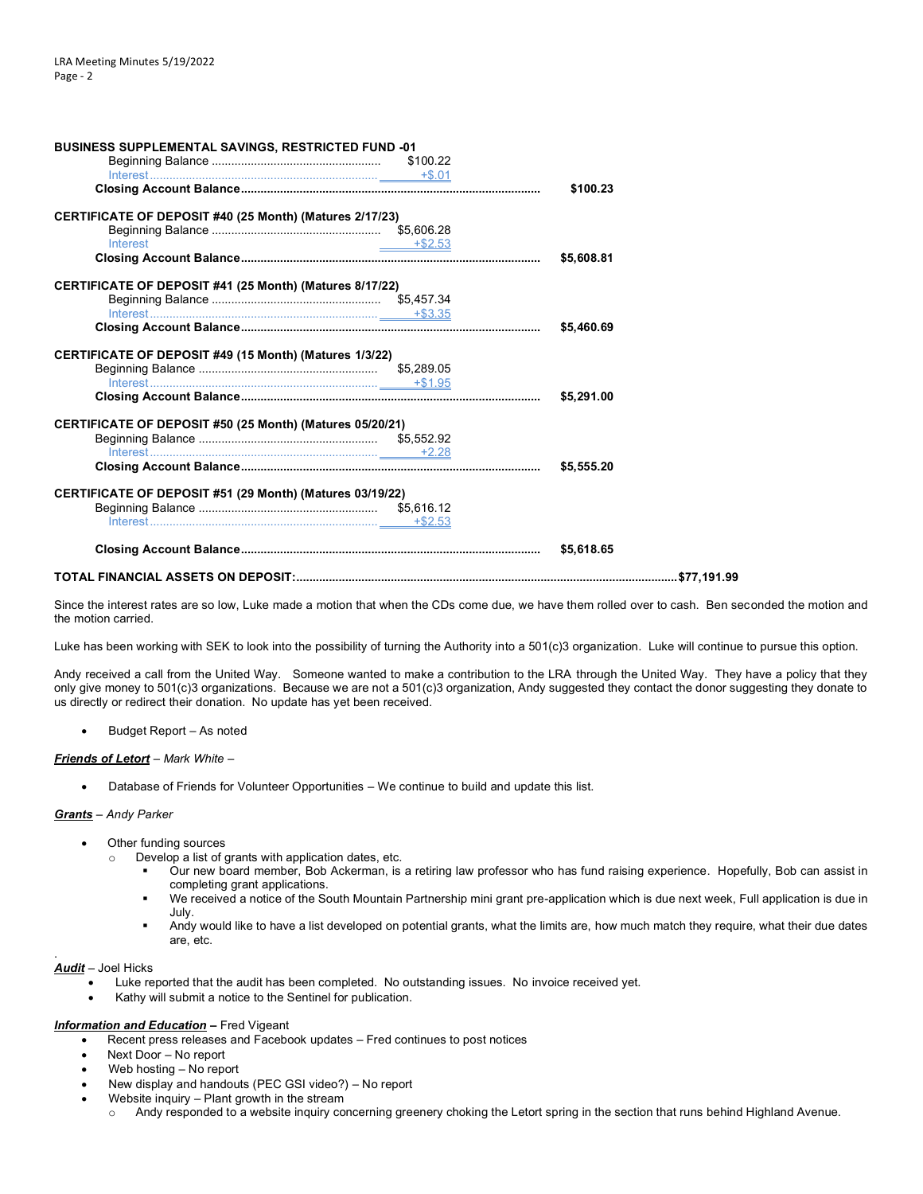| <b>BUSINESS SUPPLEMENTAL SAVINGS, RESTRICTED FUND -01</b> |            |
|-----------------------------------------------------------|------------|
|                                                           |            |
|                                                           |            |
|                                                           | \$100.23   |
| CERTIFICATE OF DEPOSIT #40 (25 Month) (Matures 2/17/23)   |            |
|                                                           |            |
| Interest<br>$+ $2.53$                                     |            |
|                                                           | \$5,608.81 |
| CERTIFICATE OF DEPOSIT #41 (25 Month) (Matures 8/17/22)   |            |
|                                                           |            |
|                                                           |            |
|                                                           | \$5,460.69 |
| CERTIFICATE OF DEPOSIT #49 (15 Month) (Matures 1/3/22)    |            |
|                                                           |            |
|                                                           |            |
|                                                           | \$5,291.00 |
| CERTIFICATE OF DEPOSIT #50 (25 Month) (Matures 05/20/21)  |            |
|                                                           |            |
|                                                           |            |
|                                                           | \$5,555.20 |
| CERTIFICATE OF DEPOSIT #51 (29 Month) (Matures 03/19/22)  |            |
|                                                           |            |
|                                                           |            |
|                                                           | \$5.618.65 |
|                                                           |            |
|                                                           |            |

Since the interest rates are so low, Luke made a motion that when the CDs come due, we have them rolled over to cash. Ben seconded the motion and the motion carried.

Luke has been working with SEK to look into the possibility of turning the Authority into a 501(c)3 organization. Luke will continue to pursue this option.

Andy received a call from the United Way. Someone wanted to make a contribution to the LRA through the United Way. They have a policy that they only give money to 501(c)3 organizations. Because we are not a 501(c)3 organization, Andy suggested they contact the donor suggesting they donate to us directly or redirect their donation. No update has yet been received.

• Budget Report – As noted

### *Friends of Letort* – *Mark White* –

• Database of Friends for Volunteer Opportunities – We continue to build and update this list.

### *Grants* – *Andy Parker*

- Other funding sources
	- o Develop a list of grants with application dates, etc.
		- Our new board member, Bob Ackerman, is a retiring law professor who has fund raising experience. Hopefully, Bob can assist in completing grant applications.
		- We received a notice of the South Mountain Partnership mini grant pre-application which is due next week, Full application is due in July.
		- Andy would like to have a list developed on potential grants, what the limits are, how much match they require, what their due dates are, etc.

### *Audit* – Joel Hicks

.

- Luke reported that the audit has been completed. No outstanding issues. No invoice received yet.
- Kathy will submit a notice to the Sentinel for publication.

### *Information and Education* **–** Fred Vigeant

• Recent press releases and Facebook updates – Fred continues to post notices

- Next Door No report
- Web hosting No report
- New display and handouts (PEC GSI video?) No report
- Website inquiry Plant growth in the stream
	- o Andy responded to a website inquiry concerning greenery choking the Letort spring in the section that runs behind Highland Avenue.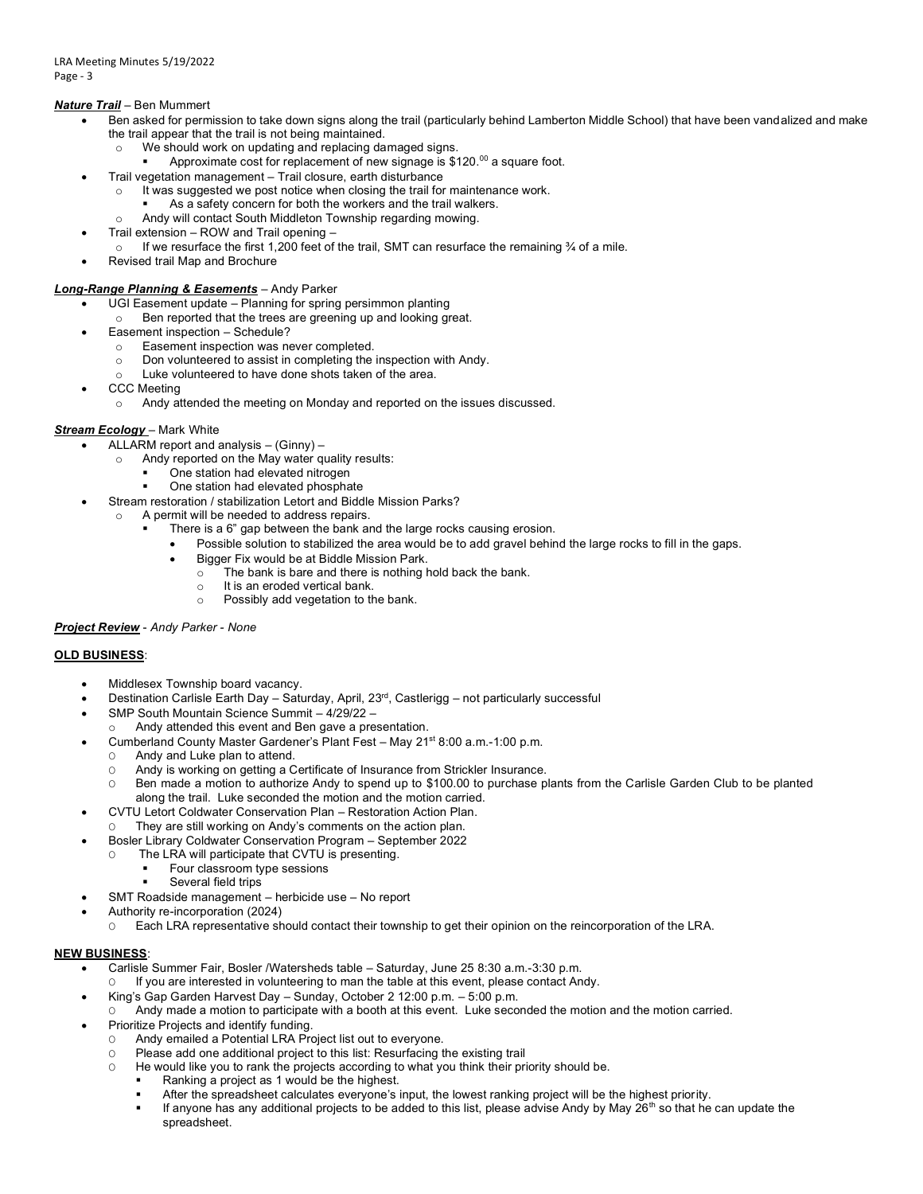# *Nature Trail* – Ben Mummert

- Ben asked for permission to take down signs along the trail (particularly behind Lamberton Middle School) that have been vandalized and make the trail appear that the trail is not being maintained.
	- o We should work on updating and replacing damaged signs.
		- Approximate cost for replacement of new signage is  $$120.^{00}$  a square foot.
- Trail vegetation management Trail closure, earth disturbance
	- o It was suggested we post notice when closing the trail for maintenance work.
		- As a safety concern for both the workers and the trail walkers.
	- o Andy will contact South Middleton Township regarding mowing.
- Trail extension ROW and Trail opening
	- o If we resurface the first 1,200 feet of the trail, SMT can resurface the remaining  $\frac{3}{4}$  of a mile.
- Revised trail Map and Brochure

# *Long-Range Planning & Easements* – Andy Parker

- UGI Easement update Planning for spring persimmon planting
	- o Ben reported that the trees are greening up and looking great.
- Easement inspection Schedule?
	- o Easement inspection was never completed.
	- o Don volunteered to assist in completing the inspection with Andy.
	- o Luke volunteered to have done shots taken of the area.
- CCC Meeting
	- o Andy attended the meeting on Monday and reported on the issues discussed.

## *Stream Ecology* – Mark White

- ALLARM report and analysis (Ginny)
	- o Andy reported on the May water quality results:
		- One station had elevated nitrogen
		- One station had elevated phosphate
- Stream restoration / stabilization Letort and Biddle Mission Parks?
- o A permit will be needed to address repairs.
	- There is a 6" gap between the bank and the large rocks causing erosion.
		- Possible solution to stabilized the area would be to add gravel behind the large rocks to fill in the gaps.
			- Bigger Fix would be at Biddle Mission Park.
			- $\circ$  The bank is bare and there is nothing hold back the bank.
			- o It is an eroded vertical bank.
			- o Possibly add vegetation to the bank.

## *Project Review* - *Andy Parker - None*

## **OLD BUSINESS**:

- Middlesex Township board vacancy.
- Destination Carlisle Earth Day Saturday, April, 23rd, Castlerigg not particularly successful
- SMP South Mountain Science Summit 4/29/22 –
- Andy attended this event and Ben gave a presentation.
- Cumberland County Master Gardener's Plant Fest May 21st 8:00 a.m.-1:00 p.m.
- Andy and Luke plan to attend.
	- O Andy is working on getting a Certificate of Insurance from Strickler Insurance.
- O Ben made a motion to authorize Andy to spend up to \$100.00 to purchase plants from the Carlisle Garden Club to be planted along the trail. Luke seconded the motion and the motion carried.
- CVTU Letort Coldwater Conservation Plan Restoration Action Plan.
- They are still working on Andy's comments on the action plan.
- Bosler Library Coldwater Conservation Program September 2022
- O The LRA will participate that CVTU is presenting.
	- Four classroom type sessions
		- Several field trips
- SMT Roadside management herbicide use No report
- Authority re-incorporation (2024)
	- O Each LRA representative should contact their township to get their opinion on the reincorporation of the LRA.

## **NEW BUSINESS**:

- Carlisle Summer Fair, Bosler /Watersheds table Saturday, June 25 8:30 a.m.-3:30 p.m.
	- If you are interested in volunteering to man the table at this event, please contact Andy.
	- King's Gap Garden Harvest Day Sunday, October 2 12:00 p.m. 5:00 p.m.
- Andy made a motion to participate with a booth at this event. Luke seconded the motion and the motion carried.
- Prioritize Projects and identify funding.
	- O Andy emailed a Potential LRA Project list out to everyone.
	- O Please add one additional project to this list: Resurfacing the existing trail
	- O He would like you to rank the projects according to what you think their priority should be.
		- Ranking a project as 1 would be the highest.
		- After the spreadsheet calculates everyone's input, the lowest ranking project will be the highest priority.
		- If anyone has any additional projects to be added to this list, please advise Andy by May  $26<sup>th</sup>$  so that he can update the spreadsheet.